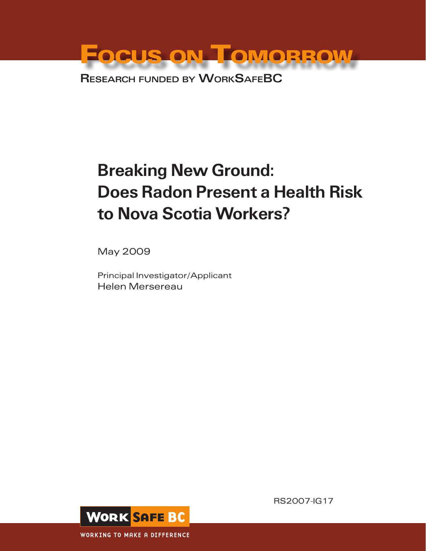Focus on Tomorrow Research funded by WorkSafeBC

# Breaking New Ground: Does Radon Present a Health Risk to Nova Scotia Workers?

May 2009

Principal Investigator/Applicant Helen Mersereau



RS2007-IG17

**WORKING TO MAKE A DIFFERENCE**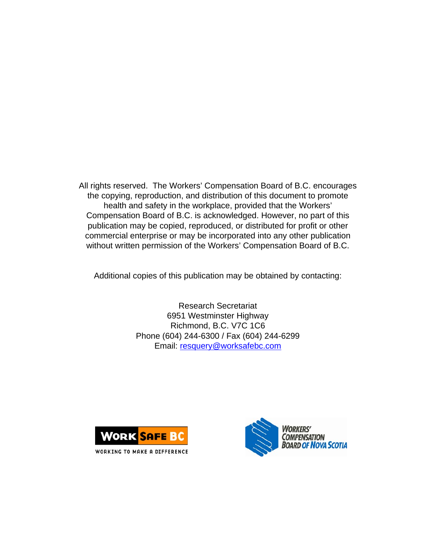All rights reserved. The Workers' Compensation Board of B.C. encourages the copying, reproduction, and distribution of this document to promote health and safety in the workplace, provided that the Workers' Compensation Board of B.C. is acknowledged. However, no part of this publication may be copied, reproduced, or distributed for profit or other commercial enterprise or may be incorporated into any other publication without written permission of the Workers' Compensation Board of B.C.

Additional copies of this publication may be obtained by contacting:

Research Secretariat 6951 Westminster Highway Richmond, B.C. V7C 1C6 Phone (604) 244-6300 / Fax (604) 244-6299 Email: [resquery@worksafebc.com](mailto:resquery@worksafebc.com)





WORKING TO MAKE A DIFFERENCE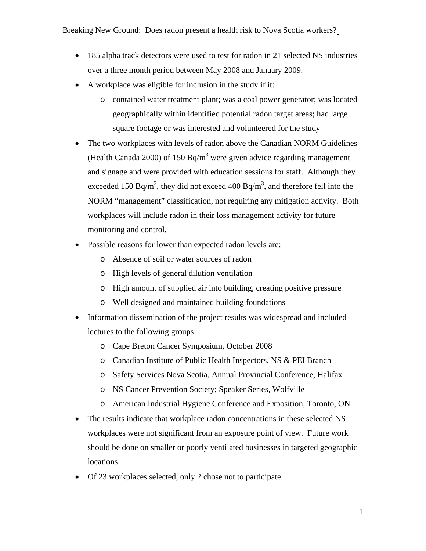- 185 alpha track detectors were used to test for radon in 21 selected NS industries over a three month period between May 2008 and January 2009.
- A workplace was eligible for inclusion in the study if it:
	- o contained water treatment plant; was a coal power generator; was located geographically within identified potential radon target areas; had large square footage or was interested and volunteered for the study
- The two workplaces with levels of radon above the Canadian NORM Guidelines (Health Canada 2000) of 150 Bq/m<sup>3</sup> were given advice regarding management and signage and were provided with education sessions for staff. Although they exceeded 150 Bq/m<sup>3</sup>, they did not exceed 400 Bq/m<sup>3</sup>, and therefore fell into the NORM "management" classification, not requiring any mitigation activity. Both workplaces will include radon in their loss management activity for future monitoring and control.
- Possible reasons for lower than expected radon levels are:
	- o Absence of soil or water sources of radon
	- o High levels of general dilution ventilation
	- o High amount of supplied air into building, creating positive pressure
	- o Well designed and maintained building foundations
- Information dissemination of the project results was widespread and included lectures to the following groups:
	- o Cape Breton Cancer Symposium, October 2008
	- o Canadian Institute of Public Health Inspectors, NS & PEI Branch
	- o Safety Services Nova Scotia, Annual Provincial Conference, Halifax
	- o NS Cancer Prevention Society; Speaker Series, Wolfville
	- o American Industrial Hygiene Conference and Exposition, Toronto, ON.
- The results indicate that workplace radon concentrations in these selected NS workplaces were not significant from an exposure point of view. Future work should be done on smaller or poorly ventilated businesses in targeted geographic locations.
- Of 23 workplaces selected, only 2 chose not to participate.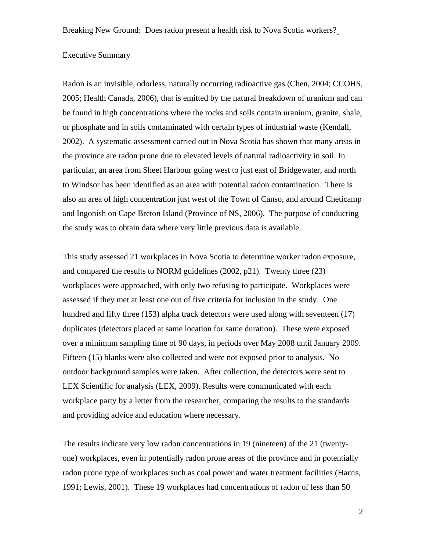# Executive Summary

Radon is an invisible, odorless, naturally occurring radioactive gas (Chen, 2004; CCOHS, 2005; Health Canada, 2006), that is emitted by the natural breakdown of uranium and can be found in high concentrations where the rocks and soils contain uranium, granite, shale, or phosphate and in soils contaminated with certain types of industrial waste (Kendall, 2002). A systematic assessment carried out in Nova Scotia has shown that many areas in the province are radon prone due to elevated levels of natural radioactivity in soil. In particular, an area from Sheet Harbour going west to just east of Bridgewater, and north to Windsor has been identified as an area with potential radon contamination. There is also an area of high concentration just west of the Town of Canso, and around Cheticamp and Ingonish on Cape Breton Island (Province of NS, 2006). The purpose of conducting the study was to obtain data where very little previous data is available.

This study assessed 21 workplaces in Nova Scotia to determine worker radon exposure, and compared the results to NORM guidelines (2002, p21). Twenty three (23) workplaces were approached, with only two refusing to participate. Workplaces were assessed if they met at least one out of five criteria for inclusion in the study. One hundred and fifty three (153) alpha track detectors were used along with seventeen (17) duplicates (detectors placed at same location for same duration). These were exposed over a minimum sampling time of 90 days, in periods over May 2008 until January 2009. Fifteen (15) blanks were also collected and were not exposed prior to analysis. No outdoor background samples were taken. After collection, the detectors were sent to LEX Scientific for analysis (LEX, 2009). Results were communicated with each workplace party by a letter from the researcher, comparing the results to the standards and providing advice and education where necessary.

The results indicate very low radon concentrations in 19 (nineteen) of the 21 (twentyone) workplaces, even in potentially radon prone areas of the province and in potentially radon prone type of workplaces such as coal power and water treatment facilities (Harris, 1991; Lewis, 2001). These 19 workplaces had concentrations of radon of less than 50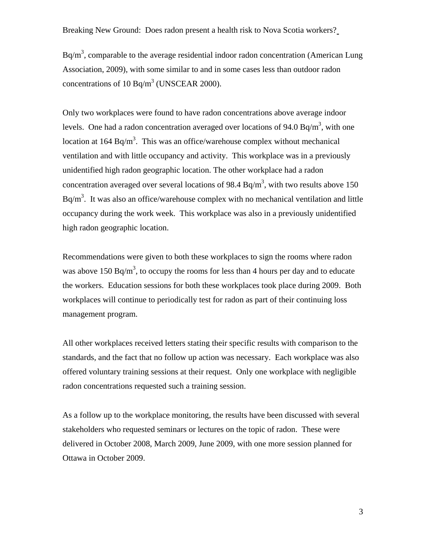$Bq/m<sup>3</sup>$ , comparable to the average residential indoor radon concentration (American Lung Association, 2009), with some similar to and in some cases less than outdoor radon concentrations of 10 Bq/m<sup>3</sup> (UNSCEAR 2000).

Only two workplaces were found to have radon concentrations above average indoor levels. One had a radon concentration averaged over locations of 94.0 Bq/m<sup>3</sup>, with one location at  $164$  Bq/m<sup>3</sup>. This was an office/warehouse complex without mechanical ventilation and with little occupancy and activity. This workplace was in a previously unidentified high radon geographic location. The other workplace had a radon concentration averaged over several locations of 98.4 Bq/m<sup>3</sup>, with two results above 150  $Bq/m<sup>3</sup>$ . It was also an office/warehouse complex with no mechanical ventilation and little occupancy during the work week. This workplace was also in a previously unidentified high radon geographic location.

Recommendations were given to both these workplaces to sign the rooms where radon was above 150 Bq/m<sup>3</sup>, to occupy the rooms for less than 4 hours per day and to educate the workers. Education sessions for both these workplaces took place during 2009. Both workplaces will continue to periodically test for radon as part of their continuing loss management program.

All other workplaces received letters stating their specific results with comparison to the standards, and the fact that no follow up action was necessary. Each workplace was also offered voluntary training sessions at their request. Only one workplace with negligible radon concentrations requested such a training session.

As a follow up to the workplace monitoring, the results have been discussed with several stakeholders who requested seminars or lectures on the topic of radon. These were delivered in October 2008, March 2009, June 2009, with one more session planned for Ottawa in October 2009.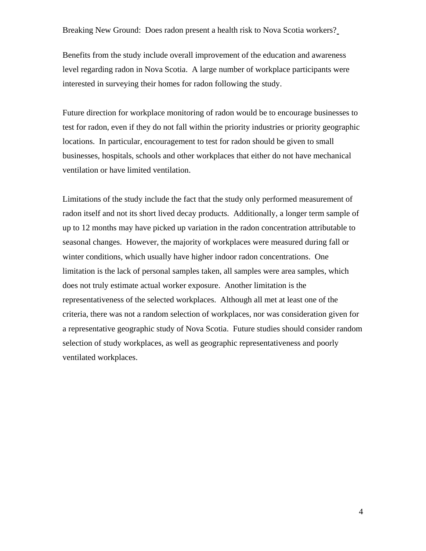Benefits from the study include overall improvement of the education and awareness level regarding radon in Nova Scotia. A large number of workplace participants were interested in surveying their homes for radon following the study.

Future direction for workplace monitoring of radon would be to encourage businesses to test for radon, even if they do not fall within the priority industries or priority geographic locations. In particular, encouragement to test for radon should be given to small businesses, hospitals, schools and other workplaces that either do not have mechanical ventilation or have limited ventilation.

Limitations of the study include the fact that the study only performed measurement of radon itself and not its short lived decay products. Additionally, a longer term sample of up to 12 months may have picked up variation in the radon concentration attributable to seasonal changes. However, the majority of workplaces were measured during fall or winter conditions, which usually have higher indoor radon concentrations. One limitation is the lack of personal samples taken, all samples were area samples, which does not truly estimate actual worker exposure. Another limitation is the representativeness of the selected workplaces. Although all met at least one of the criteria, there was not a random selection of workplaces, nor was consideration given for a representative geographic study of Nova Scotia. Future studies should consider random selection of study workplaces, as well as geographic representativeness and poorly ventilated workplaces.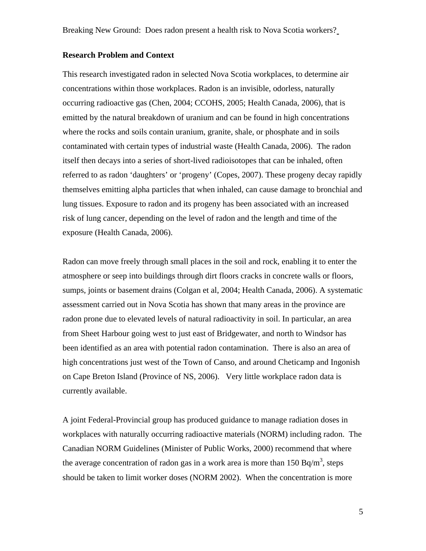## **Research Problem and Context**

This research investigated radon in selected Nova Scotia workplaces, to determine air concentrations within those workplaces. Radon is an invisible, odorless, naturally occurring radioactive gas (Chen, 2004; CCOHS, 2005; Health Canada, 2006), that is emitted by the natural breakdown of uranium and can be found in high concentrations where the rocks and soils contain uranium, granite, shale, or phosphate and in soils contaminated with certain types of industrial waste (Health Canada, 2006). The radon itself then decays into a series of short-lived radioisotopes that can be inhaled, often referred to as radon 'daughters' or 'progeny' (Copes, 2007). These progeny decay rapidly themselves emitting alpha particles that when inhaled, can cause damage to bronchial and lung tissues. Exposure to radon and its progeny has been associated with an increased risk of lung cancer, depending on the level of radon and the length and time of the exposure (Health Canada, 2006).

Radon can move freely through small places in the soil and rock, enabling it to enter the atmosphere or seep into buildings through dirt floors cracks in concrete walls or floors, sumps, joints or basement drains (Colgan et al, 2004; Health Canada, 2006). A systematic assessment carried out in Nova Scotia has shown that many areas in the province are radon prone due to elevated levels of natural radioactivity in soil. In particular, an area from Sheet Harbour going west to just east of Bridgewater, and north to Windsor has been identified as an area with potential radon contamination. There is also an area of high concentrations just west of the Town of Canso, and around Cheticamp and Ingonish on Cape Breton Island (Province of NS, 2006). Very little workplace radon data is currently available.

A joint Federal-Provincial group has produced guidance to manage radiation doses in workplaces with naturally occurring radioactive materials (NORM) including radon. The Canadian NORM Guidelines (Minister of Public Works, 2000) recommend that where the average concentration of radon gas in a work area is more than  $150 Bq/m<sup>3</sup>$ , steps should be taken to limit worker doses (NORM 2002). When the concentration is more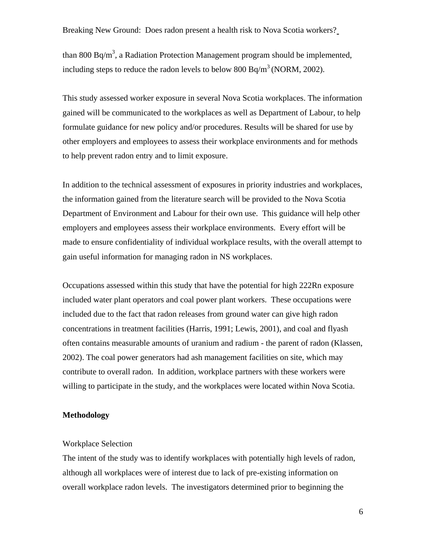than 800 Bq/m<sup>3</sup>, a Radiation Protection Management program should be implemented, including steps to reduce the radon levels to below 800 Bq/m<sup>3</sup> (NORM, 2002).

This study assessed worker exposure in several Nova Scotia workplaces. The information gained will be communicated to the workplaces as well as Department of Labour, to help formulate guidance for new policy and/or procedures. Results will be shared for use by other employers and employees to assess their workplace environments and for methods to help prevent radon entry and to limit exposure.

In addition to the technical assessment of exposures in priority industries and workplaces, the information gained from the literature search will be provided to the Nova Scotia Department of Environment and Labour for their own use. This guidance will help other employers and employees assess their workplace environments. Every effort will be made to ensure confidentiality of individual workplace results, with the overall attempt to gain useful information for managing radon in NS workplaces.

Occupations assessed within this study that have the potential for high 222Rn exposure included water plant operators and coal power plant workers. These occupations were included due to the fact that radon releases from ground water can give high radon concentrations in treatment facilities (Harris, 1991; Lewis, 2001), and coal and flyash often contains measurable amounts of uranium and radium - the parent of radon (Klassen, 2002). The coal power generators had ash management facilities on site, which may contribute to overall radon. In addition, workplace partners with these workers were willing to participate in the study, and the workplaces were located within Nova Scotia.

#### **Methodology**

## Workplace Selection

The intent of the study was to identify workplaces with potentially high levels of radon, although all workplaces were of interest due to lack of pre-existing information on overall workplace radon levels. The investigators determined prior to beginning the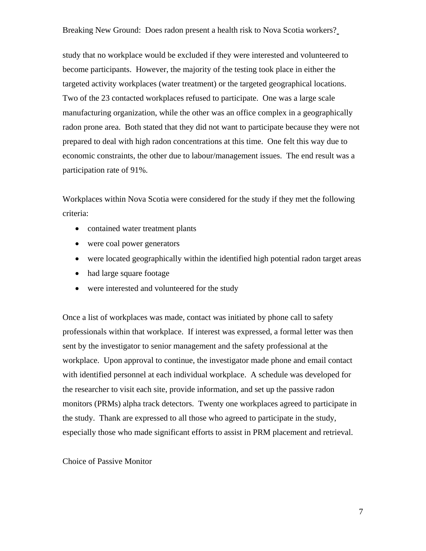study that no workplace would be excluded if they were interested and volunteered to become participants. However, the majority of the testing took place in either the targeted activity workplaces (water treatment) or the targeted geographical locations. Two of the 23 contacted workplaces refused to participate. One was a large scale manufacturing organization, while the other was an office complex in a geographically radon prone area. Both stated that they did not want to participate because they were not prepared to deal with high radon concentrations at this time. One felt this way due to economic constraints, the other due to labour/management issues. The end result was a participation rate of 91%.

Workplaces within Nova Scotia were considered for the study if they met the following criteria:

- contained water treatment plants
- were coal power generators
- were located geographically within the identified high potential radon target areas
- had large square footage
- were interested and volunteered for the study

Once a list of workplaces was made, contact was initiated by phone call to safety professionals within that workplace. If interest was expressed, a formal letter was then sent by the investigator to senior management and the safety professional at the workplace. Upon approval to continue, the investigator made phone and email contact with identified personnel at each individual workplace. A schedule was developed for the researcher to visit each site, provide information, and set up the passive radon monitors (PRMs) alpha track detectors. Twenty one workplaces agreed to participate in the study. Thank are expressed to all those who agreed to participate in the study, especially those who made significant efforts to assist in PRM placement and retrieval.

Choice of Passive Monitor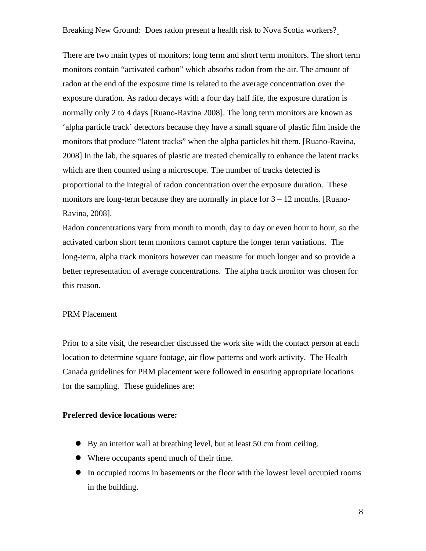There are two main types of monitors; long term and short term monitors. The short term monitors contain "activated carbon" which absorbs radon from the air. The amount of radon at the end of the exposure time is related to the average concentration over the exposure duration. As radon decays with a four day half life, the exposure duration is normally only 2 to 4 days [Ruano-Ravina 2008]. The long term monitors are known as 'alpha particle track' detectors because they have a small square of plastic film inside the monitors that produce "latent tracks" when the alpha particles hit them. [Ruano-Ravina, 2008] In the lab, the squares of plastic are treated chemically to enhance the latent tracks which are then counted using a microscope. The number of tracks detected is proportional to the integral of radon concentration over the exposure duration. These monitors are long-term because they are normally in place for  $3 - 12$  months. [Ruano-Ravina, 2008].

Radon concentrations vary from month to month, day to day or even hour to hour, so the activated carbon short term monitors cannot capture the longer term variations. The long-term, alpha track monitors however can measure for much longer and so provide a better representation of average concentrations. The alpha track monitor was chosen for this reason.

# PRM Placement

Prior to a site visit, the researcher discussed the work site with the contact person at each location to determine square footage, air flow patterns and work activity. The Health Canada guidelines for PRM placement were followed in ensuring appropriate locations for the sampling. These guidelines are:

#### **Preferred device locations were:**

- $\bullet$  By an interior wall at breathing level, but at least 50 cm from ceiling.
- Where occupants spend much of their time.
- In occupied rooms in basements or the floor with the lowest level occupied rooms in the building.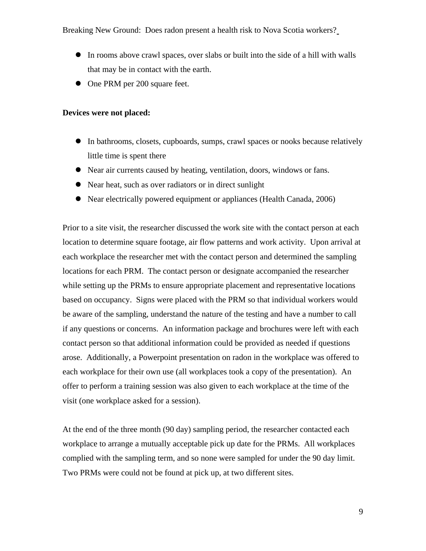- In rooms above crawl spaces, over slabs or built into the side of a hill with walls that may be in contact with the earth.
- One PRM per 200 square feet.

## **Devices were not placed:**

- In bathrooms, closets, cupboards, sumps, crawl spaces or nooks because relatively little time is spent there
- Near air currents caused by heating, ventilation, doors, windows or fans.
- Near heat, such as over radiators or in direct sunlight
- Near electrically powered equipment or appliances (Health Canada, 2006)

Prior to a site visit, the researcher discussed the work site with the contact person at each location to determine square footage, air flow patterns and work activity. Upon arrival at each workplace the researcher met with the contact person and determined the sampling locations for each PRM. The contact person or designate accompanied the researcher while setting up the PRMs to ensure appropriate placement and representative locations based on occupancy. Signs were placed with the PRM so that individual workers would be aware of the sampling, understand the nature of the testing and have a number to call if any questions or concerns. An information package and brochures were left with each contact person so that additional information could be provided as needed if questions arose. Additionally, a Powerpoint presentation on radon in the workplace was offered to each workplace for their own use (all workplaces took a copy of the presentation). An offer to perform a training session was also given to each workplace at the time of the visit (one workplace asked for a session).

At the end of the three month (90 day) sampling period, the researcher contacted each workplace to arrange a mutually acceptable pick up date for the PRMs. All workplaces complied with the sampling term, and so none were sampled for under the 90 day limit. Two PRMs were could not be found at pick up, at two different sites.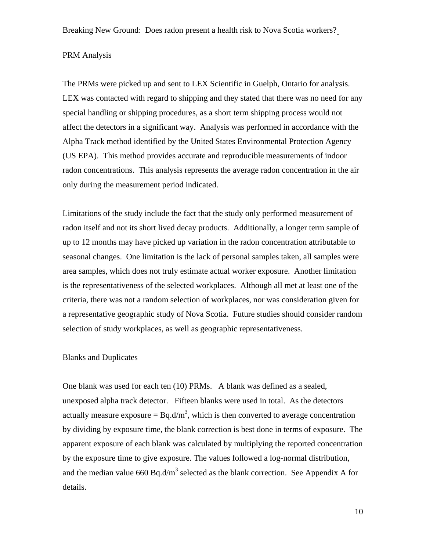# PRM Analysis

The PRMs were picked up and sent to LEX Scientific in Guelph, Ontario for analysis. LEX was contacted with regard to shipping and they stated that there was no need for any special handling or shipping procedures, as a short term shipping process would not affect the detectors in a significant way. Analysis was performed in accordance with the Alpha Track method identified by the United States Environmental Protection Agency (US EPA). This method provides accurate and reproducible measurements of indoor radon concentrations. This analysis represents the average radon concentration in the air only during the measurement period indicated.

Limitations of the study include the fact that the study only performed measurement of radon itself and not its short lived decay products. Additionally, a longer term sample of up to 12 months may have picked up variation in the radon concentration attributable to seasonal changes. One limitation is the lack of personal samples taken, all samples were area samples, which does not truly estimate actual worker exposure. Another limitation is the representativeness of the selected workplaces. Although all met at least one of the criteria, there was not a random selection of workplaces, nor was consideration given for a representative geographic study of Nova Scotia. Future studies should consider random selection of study workplaces, as well as geographic representativeness.

## Blanks and Duplicates

One blank was used for each ten (10) PRMs. A blank was defined as a sealed, unexposed alpha track detector. Fifteen blanks were used in total. As the detectors actually measure exposure =  $Bq.d/m<sup>3</sup>$ , which is then converted to average concentration by dividing by exposure time, the blank correction is best done in terms of exposure. The apparent exposure of each blank was calculated by multiplying the reported concentration by the exposure time to give exposure. The values followed a log-normal distribution, and the median value 660 Bq.d/m<sup>3</sup> selected as the blank correction. See Appendix A for details.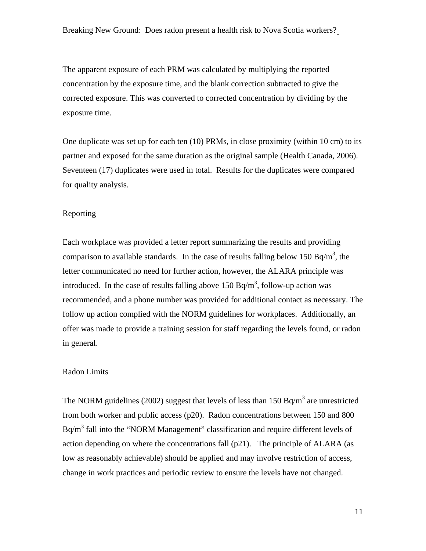The apparent exposure of each PRM was calculated by multiplying the reported concentration by the exposure time, and the blank correction subtracted to give the corrected exposure. This was converted to corrected concentration by dividing by the exposure time.

One duplicate was set up for each ten (10) PRMs, in close proximity (within 10 cm) to its partner and exposed for the same duration as the original sample (Health Canada, 2006). Seventeen (17) duplicates were used in total. Results for the duplicates were compared for quality analysis.

# Reporting

Each workplace was provided a letter report summarizing the results and providing comparison to available standards. In the case of results falling below 150 Bq/m<sup>3</sup>, the letter communicated no need for further action, however, the ALARA principle was introduced. In the case of results falling above  $150 Bq/m<sup>3</sup>$ , follow-up action was recommended, and a phone number was provided for additional contact as necessary. The follow up action complied with the NORM guidelines for workplaces. Additionally, an offer was made to provide a training session for staff regarding the levels found, or radon in general.

# Radon Limits

The NORM guidelines (2002) suggest that levels of less than 150 Bq/m<sup>3</sup> are unrestricted from both worker and public access (p20). Radon concentrations between 150 and 800  $Bq/m<sup>3</sup>$  fall into the "NORM Management" classification and require different levels of action depending on where the concentrations fall (p21). The principle of ALARA (as low as reasonably achievable) should be applied and may involve restriction of access, change in work practices and periodic review to ensure the levels have not changed.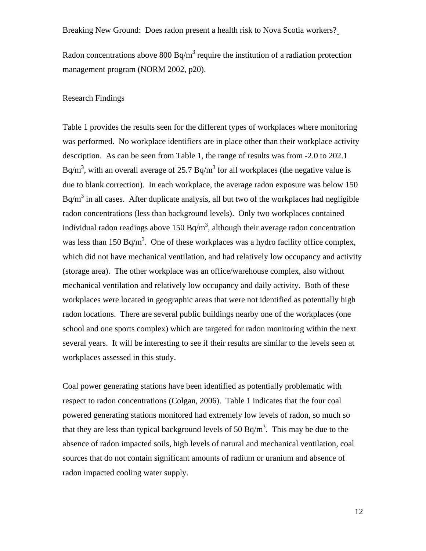Radon concentrations above 800 Bq/m<sup>3</sup> require the institution of a radiation protection management program (NORM 2002, p20).

#### Research Findings

Table 1 provides the results seen for the different types of workplaces where monitoring was performed. No workplace identifiers are in place other than their workplace activity description. As can be seen from Table 1, the range of results was from -2.0 to 202.1 Bq/m<sup>3</sup>, with an overall average of 25.7 Bq/m<sup>3</sup> for all workplaces (the negative value is due to blank correction). In each workplace, the average radon exposure was below 150  $Bq/m<sup>3</sup>$  in all cases. After duplicate analysis, all but two of the workplaces had negligible radon concentrations (less than background levels). Only two workplaces contained individual radon readings above 150 Bq/m<sup>3</sup>, although their average radon concentration was less than 150 Bq/m<sup>3</sup>. One of these workplaces was a hydro facility office complex, which did not have mechanical ventilation, and had relatively low occupancy and activity (storage area). The other workplace was an office/warehouse complex, also without mechanical ventilation and relatively low occupancy and daily activity. Both of these workplaces were located in geographic areas that were not identified as potentially high radon locations. There are several public buildings nearby one of the workplaces (one school and one sports complex) which are targeted for radon monitoring within the next several years. It will be interesting to see if their results are similar to the levels seen at workplaces assessed in this study.

Coal power generating stations have been identified as potentially problematic with respect to radon concentrations (Colgan, 2006). Table 1 indicates that the four coal powered generating stations monitored had extremely low levels of radon, so much so that they are less than typical background levels of 50 Bq/m<sup>3</sup>. This may be due to the absence of radon impacted soils, high levels of natural and mechanical ventilation, coal sources that do not contain significant amounts of radium or uranium and absence of radon impacted cooling water supply.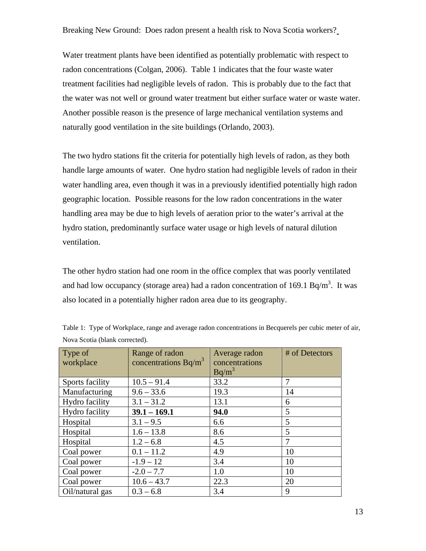Water treatment plants have been identified as potentially problematic with respect to radon concentrations (Colgan, 2006). Table 1 indicates that the four waste water treatment facilities had negligible levels of radon. This is probably due to the fact that the water was not well or ground water treatment but either surface water or waste water. Another possible reason is the presence of large mechanical ventilation systems and naturally good ventilation in the site buildings (Orlando, 2003).

The two hydro stations fit the criteria for potentially high levels of radon, as they both handle large amounts of water. One hydro station had negligible levels of radon in their water handling area, even though it was in a previously identified potentially high radon geographic location. Possible reasons for the low radon concentrations in the water handling area may be due to high levels of aeration prior to the water's arrival at the hydro station, predominantly surface water usage or high levels of natural dilution ventilation.

The other hydro station had one room in the office complex that was poorly ventilated and had low occupancy (storage area) had a radon concentration of 169.1 Bq/m<sup>3</sup>. It was also located in a potentially higher radon area due to its geography.

| Type of         | Range of radon         | Average radon  | # of Detectors |
|-----------------|------------------------|----------------|----------------|
| workplace       | concentrations $Bq/m3$ | concentrations |                |
|                 |                        | $Bq/m^3$       |                |
| Sports facility | $10.5 - 91.4$          | 33.2           | 7              |
| Manufacturing   | $9.6 - 33.6$           | 19.3           | 14             |
| Hydro facility  | $3.1 - 31.2$           | 13.1           | 6              |
| Hydro facility  | $39.1 - 169.1$         | 94.0           | 5              |
| Hospital        | $3.1 - 9.5$            | 6.6            | 5              |
| Hospital        | $1.6 - 13.8$           | 8.6            | 5              |
| Hospital        | $1.2 - 6.8$            | 4.5            | 7              |
| Coal power      | $0.1 - 11.2$           | 4.9            | 10             |
| Coal power      | $-1.9 - 12$            | 3.4            | 10             |
| Coal power      | $-2.0 - 7.7$           | 1.0            | 10             |
| Coal power      | $10.6 - 43.7$          | 22.3           | 20             |
| Oil/natural gas | $0.3 - 6.8$            | 3.4            | 9              |

Table 1: Type of Workplace, range and average radon concentrations in Becquerels per cubic meter of air, Nova Scotia (blank corrected).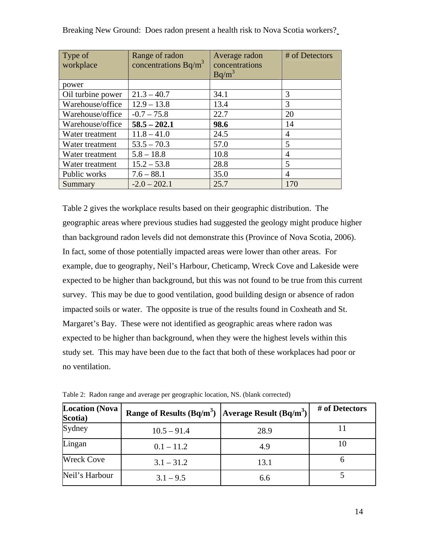| Type of<br>workplace | Range of radon<br>concentrations $Bq/m3$ | Average radon<br>concentrations | # of Detectors |
|----------------------|------------------------------------------|---------------------------------|----------------|
|                      |                                          | $Bq/m^3$                        |                |
| power                |                                          |                                 |                |
| Oil turbine power    | $21.3 - 40.7$                            | 34.1                            | 3              |
| Warehouse/office     | $12.9 - 13.8$                            | 13.4                            | 3              |
| Warehouse/office     | $-0.7 - 75.8$                            | 22.7                            | 20             |
| Warehouse/office     | $58.5 - 202.1$                           | 98.6                            | 14             |
| Water treatment      | $11.8 - 41.0$                            | 24.5                            | $\overline{4}$ |
| Water treatment      | $53.5 - 70.3$                            | 57.0                            | 5              |
| Water treatment      | $5.8 - 18.8$                             | 10.8                            | 4              |
| Water treatment      | $15.2 - 53.8$                            | 28.8                            | 5              |
| Public works         | $7.6 - 88.1$                             | 35.0                            | 4              |
| Summary              | $-2.0 - 202.1$                           | 25.7                            | 170            |

Table 2 gives the workplace results based on their geographic distribution. The geographic areas where previous studies had suggested the geology might produce higher than background radon levels did not demonstrate this (Province of Nova Scotia, 2006). In fact, some of those potentially impacted areas were lower than other areas. For example, due to geography, Neil's Harbour, Cheticamp, Wreck Cove and Lakeside were expected to be higher than background, but this was not found to be true from this current survey. This may be due to good ventilation, good building design or absence of radon impacted soils or water. The opposite is true of the results found in Coxheath and St. Margaret's Bay. These were not identified as geographic areas where radon was expected to be higher than background, when they were the highest levels within this study set. This may have been due to the fact that both of these workplaces had poor or no ventilation.

| <b>Location (Nova</b><br>Scotia) | Range of Results (Bq/m <sup>3</sup> ) Average Result (Bq/m <sup>3</sup> ) |      | # of Detectors |
|----------------------------------|---------------------------------------------------------------------------|------|----------------|
| Sydney                           | $10.5 - 91.4$                                                             | 28.9 |                |
| Lingan                           | $0.1 - 11.2$                                                              | 4.9  | 10             |
| <b>Wreck Cove</b>                | $3.1 - 31.2$                                                              | 13.1 |                |
| Neil's Harbour                   | $3.1 - 9.5$                                                               | 6.6  |                |

Table 2: Radon range and average per geographic location, NS. (blank corrected)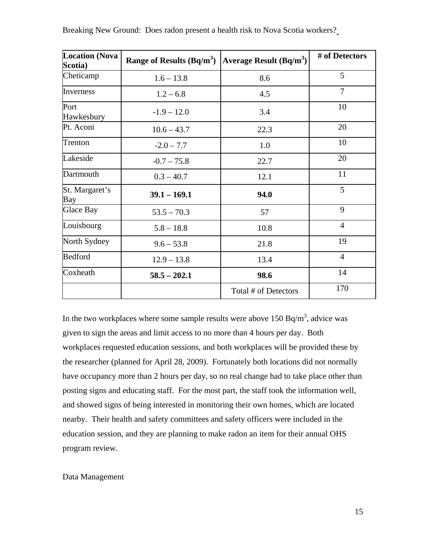| <b>Location (Nova</b><br>Scotia) | Range of Results $(Bq/m^3)$ | Average Result $(Bq/m^3)$ | # of Detectors |
|----------------------------------|-----------------------------|---------------------------|----------------|
| Cheticamp                        | $1.6 - 13.8$                | 8.6                       | 5              |
| Inverness                        | $1.2 - 6.8$                 | 4.5                       | $\overline{7}$ |
| Port<br>Hawkesbury               | $-1.9 - 12.0$               | 3.4                       | 10             |
| Pt. Aconi                        | $10.6 - 43.7$               | 22.3                      | 20             |
| Trenton                          | $-2.0 - 7.7$                | 1.0                       | 10             |
| Lakeside                         | $-0.7 - 75.8$               | 22.7                      | 20             |
| Dartmouth                        | $0.3 - 40.7$                | 12.1                      | 11             |
| St. Margaret's<br>Bay            | $39.1 - 169.1$              | 94.0                      | 5              |
| <b>Glace Bay</b>                 | $53.5 - 70.3$               | 57                        | 9              |
| Louisbourg                       | $5.8 - 18.8$                | 10.8                      | $\overline{4}$ |
| North Sydney                     | $9.6 - 53.8$                | 21.8                      | 19             |
| <b>Bedford</b>                   | $12.9 - 13.8$               | 13.4                      | $\overline{4}$ |
| Coxheath                         | $58.5 - 202.1$              | 98.6                      | 14             |
|                                  |                             | Total # of Detectors      | 170            |

In the two workplaces where some sample results were above  $150$  Bq/m<sup>3</sup>, advice was given to sign the areas and limit access to no more than 4 hours per day. Both workplaces requested education sessions, and both workplaces will be provided these by the researcher (planned for April 28, 2009). Fortunately both locations did not normally have occupancy more than 2 hours per day, so no real change had to take place other than posting signs and educating staff. For the most part, the staff took the information well, and showed signs of being interested in monitoring their own homes, which are located nearby. Their health and safety committees and safety officers were included in the education session, and they are planning to make radon an item for their annual OHS program review.

#### Data Management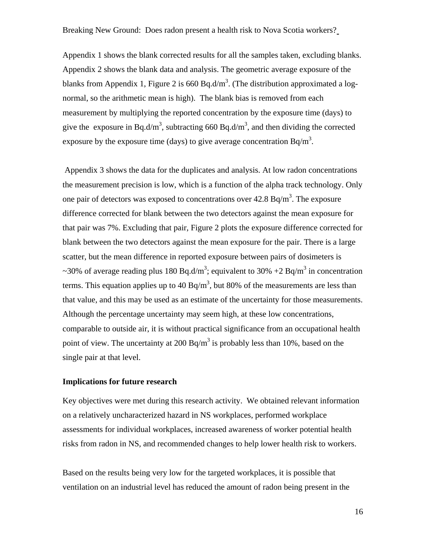Appendix 1 shows the blank corrected results for all the samples taken, excluding blanks. Appendix 2 shows the blank data and analysis. The geometric average exposure of the blanks from Appendix 1, Figure 2 is 660 Bq.d/m<sup>3</sup>. (The distribution approximated a lognormal, so the arithmetic mean is high). The blank bias is removed from each measurement by multiplying the reported concentration by the exposure time (days) to give the exposure in Bq.d/m<sup>3</sup>, subtracting 660 Bq.d/m<sup>3</sup>, and then dividing the corrected exposure by the exposure time (days) to give average concentration  $Bq/m<sup>3</sup>$ .

 Appendix 3 shows the data for the duplicates and analysis. At low radon concentrations the measurement precision is low, which is a function of the alpha track technology. Only one pair of detectors was exposed to concentrations over  $42.8 \text{ Bq/m}^3$ . The exposure difference corrected for blank between the two detectors against the mean exposure for that pair was 7%. Excluding that pair, Figure 2 plots the exposure difference corrected for blank between the two detectors against the mean exposure for the pair. There is a large scatter, but the mean difference in reported exposure between pairs of dosimeters is ~30% of average reading plus 180 Bq.d/m<sup>3</sup>; equivalent to 30% +2 Bq/m<sup>3</sup> in concentration terms. This equation applies up to 40 Bq/m<sup>3</sup>, but 80% of the measurements are less than that value, and this may be used as an estimate of the uncertainty for those measurements. Although the percentage uncertainty may seem high, at these low concentrations, comparable to outside air, it is without practical significance from an occupational health point of view. The uncertainty at 200 Bq/m<sup>3</sup> is probably less than 10%, based on the single pair at that level.

#### **Implications for future research**

Key objectives were met during this research activity. We obtained relevant information on a relatively uncharacterized hazard in NS workplaces, performed workplace assessments for individual workplaces, increased awareness of worker potential health risks from radon in NS, and recommended changes to help lower health risk to workers.

Based on the results being very low for the targeted workplaces, it is possible that ventilation on an industrial level has reduced the amount of radon being present in the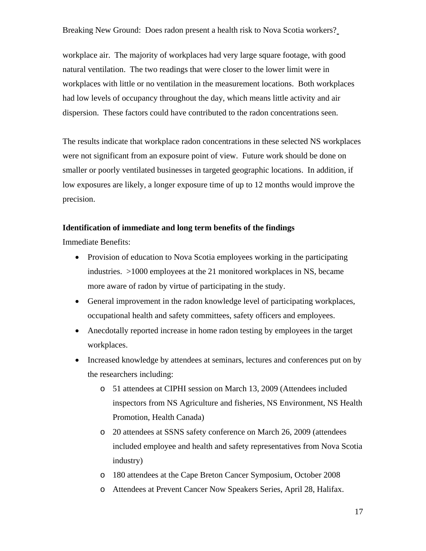workplace air. The majority of workplaces had very large square footage, with good natural ventilation. The two readings that were closer to the lower limit were in workplaces with little or no ventilation in the measurement locations. Both workplaces had low levels of occupancy throughout the day, which means little activity and air dispersion. These factors could have contributed to the radon concentrations seen.

The results indicate that workplace radon concentrations in these selected NS workplaces were not significant from an exposure point of view. Future work should be done on smaller or poorly ventilated businesses in targeted geographic locations. In addition, if low exposures are likely, a longer exposure time of up to 12 months would improve the precision.

# **Identification of immediate and long term benefits of the findings**

Immediate Benefits:

- Provision of education to Nova Scotia employees working in the participating industries. >1000 employees at the 21 monitored workplaces in NS, became more aware of radon by virtue of participating in the study.
- General improvement in the radon knowledge level of participating workplaces, occupational health and safety committees, safety officers and employees.
- Anecdotally reported increase in home radon testing by employees in the target workplaces.
- Increased knowledge by attendees at seminars, lectures and conferences put on by the researchers including:
	- o 51 attendees at CIPHI session on March 13, 2009 (Attendees included inspectors from NS Agriculture and fisheries, NS Environment, NS Health Promotion, Health Canada)
	- o 20 attendees at SSNS safety conference on March 26, 2009 (attendees included employee and health and safety representatives from Nova Scotia industry)
	- o 180 attendees at the Cape Breton Cancer Symposium, October 2008
	- o Attendees at Prevent Cancer Now Speakers Series, April 28, Halifax.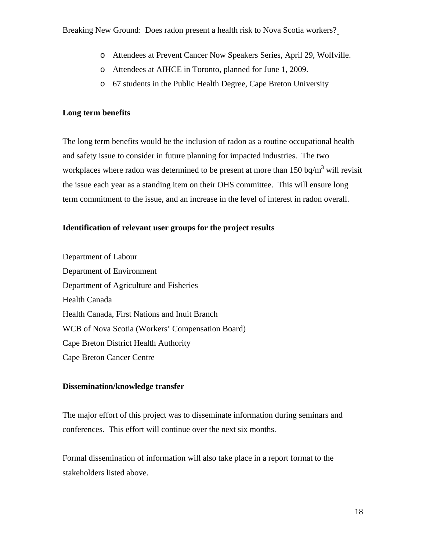- o Attendees at Prevent Cancer Now Speakers Series, April 29, Wolfville.
- o Attendees at AIHCE in Toronto, planned for June 1, 2009.
- o 67 students in the Public Health Degree, Cape Breton University

# **Long term benefits**

The long term benefits would be the inclusion of radon as a routine occupational health and safety issue to consider in future planning for impacted industries. The two workplaces where radon was determined to be present at more than  $150 \text{ bq/m}^3$  will revisit the issue each year as a standing item on their OHS committee. This will ensure long term commitment to the issue, and an increase in the level of interest in radon overall.

# **Identification of relevant user groups for the project results**

Department of Labour Department of Environment Department of Agriculture and Fisheries Health Canada Health Canada, First Nations and Inuit Branch WCB of Nova Scotia (Workers' Compensation Board) Cape Breton District Health Authority Cape Breton Cancer Centre

# **Dissemination/knowledge transfer**

The major effort of this project was to disseminate information during seminars and conferences. This effort will continue over the next six months.

Formal dissemination of information will also take place in a report format to the stakeholders listed above.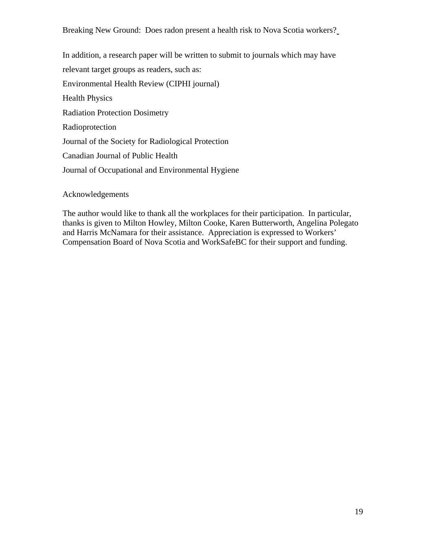In addition, a research paper will be written to submit to journals which may have relevant target groups as readers, such as: Environmental Health Review (CIPHI journal) Health Physics Radiation Protection Dosimetry Radioprotection Journal of the Society for Radiological Protection Canadian Journal of Public Health Journal of Occupational and Environmental Hygiene

Acknowledgements

The author would like to thank all the workplaces for their participation. In particular, thanks is given to Milton Howley, Milton Cooke, Karen Butterworth, Angelina Polegato and Harris McNamara for their assistance. Appreciation is expressed to Workers' Compensation Board of Nova Scotia and WorkSafeBC for their support and funding.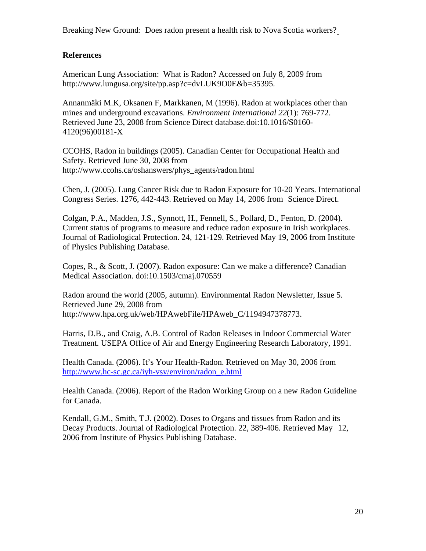# **References**

American Lung Association: What is Radon? Accessed on July 8, 2009 from http://www.lungusa.org/site/pp.asp?c=dvLUK9O0E&b=35395.

Annanmäki M.K, Oksanen F, Markkanen, M (1996). Radon at workplaces other than mines and underground excavations. *Environment International 22*(1): 769-772. Retrieved June 23, 2008 from Science Direct database.doi:10.1016/S0160- 4120(96)00181-X

CCOHS, Radon in buildings (2005). Canadian Center for Occupational Health and Safety. Retrieved June 30, 2008 from http://www.ccohs.ca/oshanswers/phys\_agents/radon.html

Chen, J. (2005). Lung Cancer Risk due to Radon Exposure for 10-20 Years. International Congress Series. 1276, 442-443. Retrieved on May 14, 2006 from Science Direct.

Colgan, P.A., Madden, J.S., Synnott, H., Fennell, S., Pollard, D., Fenton, D. (2004). Current status of programs to measure and reduce radon exposure in Irish workplaces. Journal of Radiological Protection. 24, 121-129. Retrieved May 19, 2006 from Institute of Physics Publishing Database.

Copes, R., & Scott, J. (2007). Radon exposure: Can we make a difference? Canadian Medical Association. doi:10.1503/cmaj.070559

Radon around the world (2005, autumn). Environmental Radon Newsletter, Issue 5. Retrieved June 29, 2008 from http://www.hpa.org.uk/web/HPAwebFile/HPAweb\_C/1194947378773.

Harris, D.B., and Craig, A.B. Control of Radon Releases in Indoor Commercial Water Treatment. USEPA Office of Air and Energy Engineering Research Laboratory, 1991.

Health Canada. (2006). It's Your Health-Radon. Retrieved on May 30, 2006 from [http://www.hc-sc.gc.ca/iyh-vsv/environ/radon\\_e.html](http://www.hc-sc.gc.ca/iyh-vsv/environ/radon_e.html)

Health Canada. (2006). Report of the Radon [Working Group on a new Radon Guidel](http://www.hc-sc.gc.ca/ahc-asc/public-consult/col/radon/rep-rapp_e.html)ine for Canada.

[Kendall, G.M., Smith, T.J. \(2002\).](http://www.hc-sc.gc.ca/ahc-asc/public-consult/col/radon/rep-rapp_e.html) Doses to Organs and tissues from Radon and its Decay Products. Journal of Radiological Protection. 22, 389-406. Retrieved May 12, 2006 from Institute of Physics Publishing Database.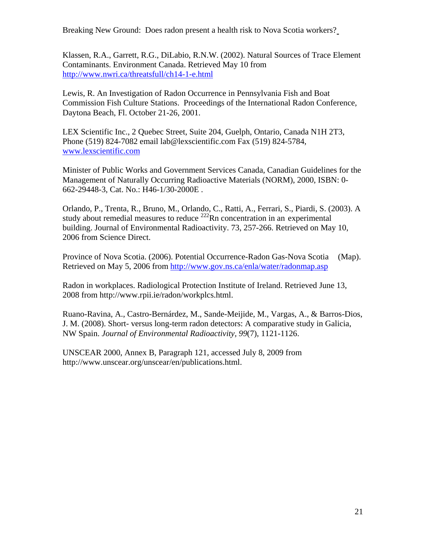Klassen, R.A., Garrett, R.G., DiLabio, R.N.W. (2002). Natural Sources of Trace Element Contaminants. Environment Canada. Retrieved May 10 from <http://www.nwri.ca/threatsfull/ch14-1-e.html>

Lewis, R. An Investigation of Radon Occurrence in Pennsylvania Fish and Boat Commission Fish Culture Stations. Proceedings of the International Radon Conference, Daytona Beach, Fl. October 21-26, 2001.

LEX Scientific Inc., 2 Quebec Street, Suite 204, Guelph, Ontario, Canada N1H 2T3, Phone (519) 824-7082 email lab@lexscientific.com Fax (519) 824-5784, [www.lexscientific.com](http://www.lexscientific.com/)

Minister of Public Works and Government Services Canada, Canadian Guidelines for the Management of Naturally Occurring Radioactive Materials (NORM), 2000, ISBN: 0- 662-29448-3, Cat. No.: H46-1/30-2000E .

Orlando, P., Trenta, R., Bruno, M., Orlando, C., Ratti, A., Ferrari, S., Piardi, S. (2003). A study about remedial measures to reduce  $^{222}$ Rn concentration in an experimental building. Journal of Environmental Radioactivity. 73, 257-266. Retrieved on May 10, 2006 from Science Direct.

Province of Nova Scotia. (2006). Potential Occurrence-Radon Gas-Nova Scotia (Map). Retrieved on May 5, 2006 from <http://www.gov.ns.ca/enla/water/radonmap.asp>

Radon in workplaces. Radiological Protection Institute of Ireland. Retrieved June 13, 2008 from http://www.rpii.ie/radon/workplcs.html.

Ruano-Ravina, A., Castro-Bernárdez, M., Sande-Meijide, M., Vargas, A., & Barros-Dios, J. M. (2008). Short- versus long-term radon detectors: A comparative study in Galicia, NW Spain. *Journal of Environmental Radioactivity, 99*(7), 1121-1126.

UNSCEAR 2000, Annex B, Paragraph 121, accessed July 8, 2009 from http://www.unscear.org/unscear/en/publications.html.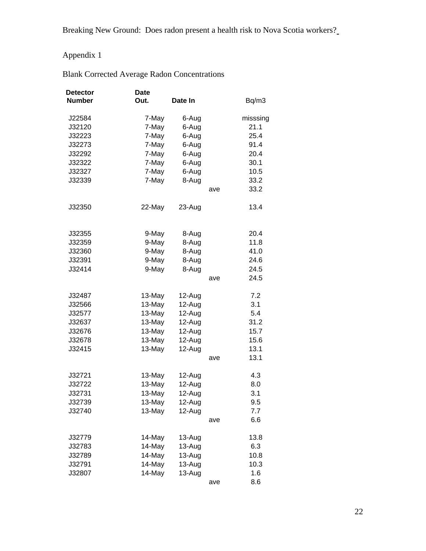# Appendix 1

| <b>Detector</b><br><b>Number</b> | <b>Date</b><br>Out. | Date In  |     | Bq/m3    |
|----------------------------------|---------------------|----------|-----|----------|
| J22584                           | 7-May               | 6-Aug    |     | misssing |
| J32120                           | 7-May               | 6-Aug    |     | 21.1     |
| J32223                           | 7-May               | 6-Aug    |     | 25.4     |
| J32273                           | 7-May               | 6-Aug    |     | 91.4     |
| J32292                           | 7-May               | 6-Aug    |     | 20.4     |
| J32322                           | 7-May               | 6-Aug    |     | 30.1     |
| J32327                           | 7-May               | 6-Aug    |     | 10.5     |
| J32339                           | 7-May               | 8-Aug    |     | 33.2     |
|                                  |                     |          | ave | 33.2     |
| J32350                           | 22-May              | 23-Aug   |     | 13.4     |
| J32355                           | 9-May               | 8-Aug    |     | 20.4     |
| J32359                           | 9-May               | 8-Aug    |     | 11.8     |
| J32360                           | 9-May               | 8-Aug    |     | 41.0     |
| J32391                           | 9-May               | 8-Aug    |     | 24.6     |
| J32414                           | 9-May               | 8-Aug    |     | 24.5     |
|                                  |                     |          | ave | 24.5     |
| J32487                           | 13-May              | 12-Aug   |     | 7.2      |
| J32566                           | 13-May              | 12-Aug   |     | 3.1      |
| J32577                           | 13-May              | 12-Aug   |     | 5.4      |
| J32637                           | 13-May              | 12-Aug   |     | 31.2     |
| J32676                           | 13-May              | 12-Aug   |     | 15.7     |
| J32678                           | 13-May              | 12-Aug   |     | 15.6     |
| J32415                           | 13-May              | 12-Aug   |     | 13.1     |
|                                  |                     |          | ave | 13.1     |
| J32721                           | 13-May              | 12-Aug   |     | 4.3      |
| J32722                           | 13-May              | 12-Aug   |     | 8.0      |
| J32731                           | 13-May              | 12-Aug   |     | 3.1      |
| J32739                           | 13-May              | 12-Aug   |     | 9.5      |
| J32740                           | 13-May              | 12-Aug   |     | 7.7      |
|                                  |                     |          | ave | 6.6      |
| J32779                           | 14-May              | 13-Aug   |     | 13.8     |
| J32783                           | 14-May              | 13-Aug   |     | 6.3      |
| J32789                           | 14-May              | 13-Aug   |     | 10.8     |
| J32791                           | 14-May              | $13-Auq$ |     | 10.3     |
| J32807                           | 14-May              | 13-Aug   |     | 1.6      |
|                                  |                     |          | ave | 8.6      |

# Blank Corrected Average Radon Concentrations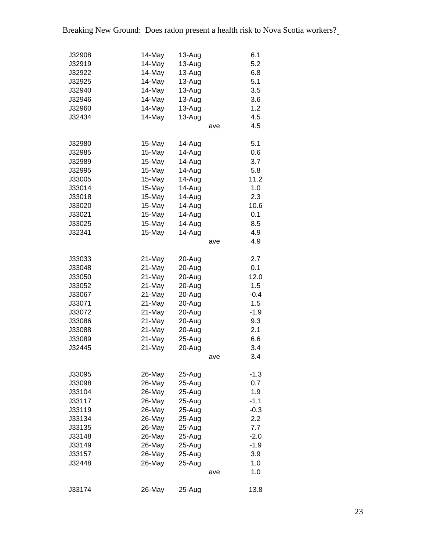| J32908<br>J32919<br>J32922<br>J32925<br>J32940<br>J32946<br>J32960<br>J32434                               | 14-May<br>14-May<br>14-May<br>14-May<br>14-May<br>14-May<br>14-May<br>14-May                               | 13-Aug<br>13-Aug<br>13-Aug<br>13-Aug<br>13-Aug<br>13-Aug<br>13-Aug<br>13-Aug                                                       | ave | 6.1<br>5.2<br>6.8<br>5.1<br>3.5<br>3.6<br>1.2<br>4.5<br>4.5                                     |
|------------------------------------------------------------------------------------------------------------|------------------------------------------------------------------------------------------------------------|------------------------------------------------------------------------------------------------------------------------------------|-----|-------------------------------------------------------------------------------------------------|
| J32980<br>J32985<br>J32989<br>J32995<br>J33005<br>J33014<br>J33018<br>J33020<br>J33021<br>J33025<br>J32341 | 15-May<br>15-May<br>15-May<br>15-May<br>15-May<br>15-May<br>15-May<br>15-May<br>15-May<br>15-May<br>15-May | 14-Aug<br>14-Aug<br>14-Aug<br>14-Aug<br>14-Aug<br>14-Aug<br>14-Aug<br>14-Aug<br>14-Aug<br>14-Aug<br>14-Aug                         | ave | 5.1<br>0.6<br>3.7<br>5.8<br>11.2<br>1.0<br>2.3<br>10.6<br>0.1<br>8.5<br>4.9<br>4.9              |
| J33033<br>J33048<br>J33050<br>J33052<br>J33067<br>J33071<br>J33072<br>J33086<br>J33088<br>J33089<br>J32445 | 21-May<br>21-May<br>21-May<br>21-May<br>21-May<br>21-May<br>21-May<br>21-May<br>21-May<br>21-May<br>21-May | 20-Aug<br>20-Aug<br>20-Aug<br>20-Aug<br>20-Aug<br>20-Aug<br>20-Aug<br>20-Aug<br>20-Aug<br>$25 - Aug$<br>20-Aug                     | ave | 2.7<br>0.1<br>12.0<br>1.5<br>$-0.4$<br>1.5<br>$-1.9$<br>9.3<br>2.1<br>6.6<br>3.4<br>3.4         |
| J33095<br>J33098<br>J33104<br>J33117<br>J33119<br>J33134<br>J33135<br>J33148<br>J33149<br>J33157<br>J32448 | 26-May<br>26-May<br>26-May<br>26-May<br>26-May<br>26-May<br>26-May<br>26-May<br>26-May<br>26-May<br>26-May | 25-Aug<br>25-Aug<br>25-Aug<br>$25 - Aug$<br>$25 - Aug$<br>$25 - Aug$<br>$25-Aug$<br>$25 - Aug$<br>25-Aug<br>$25-Aug$<br>$25 - Aug$ | ave | $-1.3$<br>0.7<br>1.9<br>$-1.1$<br>$-0.3$<br>2.2<br>7.7<br>$-2.0$<br>$-1.9$<br>3.9<br>1.0<br>1.0 |
| J33174                                                                                                     | 26-May                                                                                                     | 25-Aug                                                                                                                             |     | 13.8                                                                                            |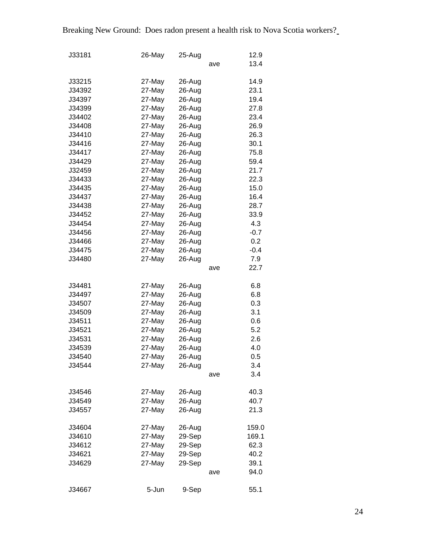| J33181 | 26-May | 25-Aug |     | 12.9   |
|--------|--------|--------|-----|--------|
|        |        |        | ave | 13.4   |
|        |        |        |     |        |
| J33215 | 27-May | 26-Aug |     | 14.9   |
| J34392 | 27-May | 26-Aug |     | 23.1   |
| J34397 | 27-May | 26-Aug |     | 19.4   |
| J34399 | 27-May | 26-Aug |     | 27.8   |
| J34402 | 27-May | 26-Aug |     | 23.4   |
| J34408 | 27-May | 26-Aug |     | 26.9   |
| J34410 | 27-May | 26-Aug |     | 26.3   |
| J34416 | 27-May | 26-Aug |     | 30.1   |
| J34417 | 27-May | 26-Aug |     | 75.8   |
| J34429 | 27-May | 26-Aug |     | 59.4   |
| J32459 | 27-May | 26-Aug |     | 21.7   |
| J34433 | 27-May | 26-Aug |     | 22.3   |
| J34435 | 27-May | 26-Aug |     | 15.0   |
| J34437 | 27-May | 26-Aug |     | 16.4   |
| J34438 | 27-May | 26-Aug |     | 28.7   |
| J34452 | 27-May | 26-Aug |     | 33.9   |
| J34454 | 27-May | 26-Aug |     | 4.3    |
| J34456 | 27-May | 26-Aug |     | $-0.7$ |
| J34466 | 27-May | 26-Aug |     | 0.2    |
| J34475 | 27-May | 26-Aug |     | $-0.4$ |
| J34480 | 27-May | 26-Aug |     | 7.9    |
|        |        |        | ave | 22.7   |
|        |        |        |     |        |
| J34481 | 27-May | 26-Aug |     | 6.8    |
| J34497 | 27-May | 26-Aug |     | 6.8    |
| J34507 | 27-May | 26-Aug |     | 0.3    |
| J34509 | 27-May | 26-Aug |     | 3.1    |
| J34511 | 27-May | 26-Aug |     | 0.6    |
| J34521 | 27-May | 26-Aug |     | 5.2    |
| J34531 | 27-May | 26-Aug |     | 2.6    |
| J34539 | 27-May | 26-Aug |     | 4.0    |
| J34540 | 27-May | 26-Aug |     | 0.5    |
| J34544 | 27-May | 26-Aug |     | 3.4    |
|        |        |        | ave | 3.4    |
| J34546 | 27-May | 26-Aug |     | 40.3   |
| J34549 | 27-May | 26-Aug |     | 40.7   |
| J34557 | 27-May | 26-Aug |     | 21.3   |
|        |        |        |     |        |
| J34604 | 27-May | 26-Aug |     | 159.0  |
| J34610 | 27-May | 29-Sep |     | 169.1  |
| J34612 | 27-May | 29-Sep |     | 62.3   |
| J34621 | 27-May | 29-Sep |     | 40.2   |
| J34629 | 27-May | 29-Sep |     | 39.1   |
|        |        |        | ave | 94.0   |
|        |        |        |     |        |
| J34667 | 5-Jun  | 9-Sep  |     | 55.1   |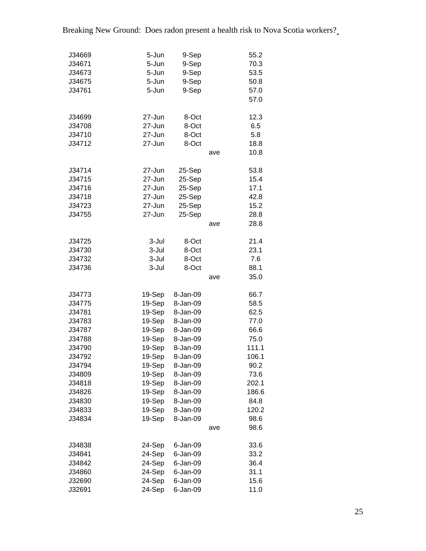| J34669 | 5-Jun  | 9-Sep    |     | 55.2  |
|--------|--------|----------|-----|-------|
| J34671 | 5-Jun  | 9-Sep    |     | 70.3  |
| J34673 | 5-Jun  | 9-Sep    |     | 53.5  |
| J34675 | 5-Jun  | 9-Sep    |     | 50.8  |
| J34761 | 5-Jun  | 9-Sep    |     | 57.0  |
|        |        |          |     | 57.0  |
|        |        |          |     |       |
| J34699 | 27-Jun | 8-Oct    |     | 12.3  |
| J34708 | 27-Jun | 8-Oct    |     | 6.5   |
| J34710 | 27-Jun | 8-Oct    |     | 5.8   |
| J34712 | 27-Jun | 8-Oct    |     | 18.8  |
|        |        |          | ave | 10.8  |
|        |        |          |     |       |
| J34714 | 27-Jun | 25-Sep   |     | 53.8  |
| J34715 | 27-Jun | 25-Sep   |     | 15.4  |
| J34716 | 27-Jun | 25-Sep   |     | 17.1  |
| J34718 | 27-Jun | 25-Sep   |     | 42.8  |
| J34723 | 27-Jun | 25-Sep   |     | 15.2  |
| J34755 | 27-Jun | 25-Sep   |     | 28.8  |
|        |        |          | ave | 28.8  |
|        |        |          |     |       |
| J34725 | 3-Jul  | 8-Oct    |     | 21.4  |
| J34730 | 3-Jul  | 8-Oct    |     | 23.1  |
| J34732 | 3-Jul  | 8-Oct    |     | 7.6   |
| J34736 | 3-Jul  | 8-Oct    |     | 88.1  |
|        |        |          | ave | 35.0  |
|        |        |          |     |       |
| J34773 | 19-Sep | 8-Jan-09 |     | 66.7  |
| J34775 | 19-Sep | 8-Jan-09 |     | 58.5  |
| J34781 | 19-Sep | 8-Jan-09 |     | 62.5  |
| J34783 | 19-Sep | 8-Jan-09 |     | 77.0  |
| J34787 | 19-Sep | 8-Jan-09 |     | 66.6  |
| J34788 | 19-Sep | 8-Jan-09 |     | 75.0  |
| J34790 | 19-Sep | 8-Jan-09 |     | 111.1 |
| J34792 | 19-Sep | 8-Jan-09 |     | 106.1 |
| J34794 | 19-Sep | 8-Jan-09 |     | 90.2  |
| J34809 | 19-Sep | 8-Jan-09 |     | 73.6  |
| J34818 | 19-Sep | 8-Jan-09 |     | 202.1 |
| J34826 | 19-Sep | 8-Jan-09 |     | 186.6 |
| J34830 | 19-Sep | 8-Jan-09 |     | 84.8  |
| J34833 | 19-Sep | 8-Jan-09 |     | 120.2 |
| J34834 | 19-Sep | 8-Jan-09 |     | 98.6  |
|        |        |          | ave | 98.6  |
|        |        |          |     |       |
| J34838 | 24-Sep | 6-Jan-09 |     | 33.6  |
| J34841 | 24-Sep | 6-Jan-09 |     | 33.2  |
| J34842 | 24-Sep | 6-Jan-09 |     | 36.4  |
| J34860 | 24-Sep | 6-Jan-09 |     | 31.1  |
| J32690 | 24-Sep | 6-Jan-09 |     | 15.6  |
| J32691 | 24-Sep | 6-Jan-09 |     | 11.0  |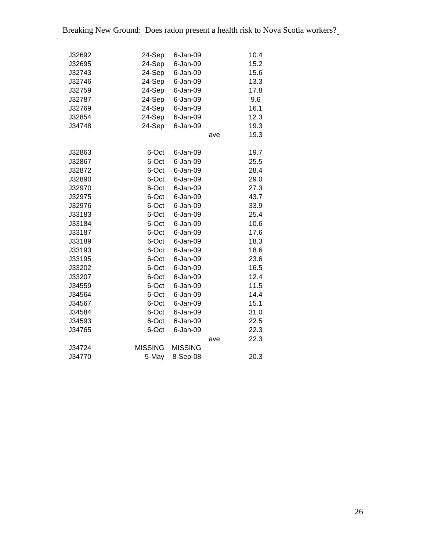| J32692 | 24-Sep<br>6-Jan-09               |     | 10.4 |
|--------|----------------------------------|-----|------|
| J32695 | 24-Sep<br>6-Jan-09               |     | 15.2 |
| J32743 | 24-Sep<br>6-Jan-09               |     | 15.6 |
| J32746 | 24-Sep<br>6-Jan-09               |     | 13.3 |
| J32759 | 24-Sep<br>6-Jan-09               |     | 17.8 |
| J32787 | 24-Sep<br>6-Jan-09               |     | 9.6  |
| J32769 | 24-Sep<br>6-Jan-09               |     | 16.1 |
| J32854 | 24-Sep<br>6-Jan-09               |     | 12.3 |
| J34748 | 24-Sep<br>6-Jan-09               |     | 19.3 |
|        |                                  | ave | 19.3 |
| J32863 | 6-Oct<br>6-Jan-09                |     | 19.7 |
| J32867 | 6-Oct<br>6-Jan-09                |     | 25.5 |
| J32872 | 6-Oct<br>$6$ -Jan-09             |     | 28.4 |
| J32890 | 6-Oct<br>6-Jan-09                |     | 29.0 |
| J32970 | 6-Oct<br>6-Jan-09                |     | 27.3 |
| J32975 | 6-Oct<br>6-Jan-09                |     | 43.7 |
| J32976 | 6-Oct<br>6-Jan-09                |     | 33.9 |
| J33183 | 6-Oct<br>$6$ -Jan-09             |     | 25.4 |
| J33184 | 6-Oct<br>$6$ -Jan-09             |     | 10.6 |
| J33187 | 6-Oct<br>6-Jan-09                |     | 17.6 |
| J33189 | 6-Oct<br>$6$ -Jan-09             |     | 18.3 |
| J33193 | 6-Oct<br>6-Jan-09                |     | 18.6 |
| J33195 | 6-Oct<br>6-Jan-09                |     | 23.6 |
| J33202 | 6-Oct<br>6-Jan-09                |     | 16.5 |
| J33207 | 6-Oct<br>6-Jan-09                |     | 12.4 |
| J34559 | 6-Oct<br>6-Jan-09                |     | 11.5 |
| J34564 | 6-Oct<br>6-Jan-09                |     | 14.4 |
| J34567 | 6-Oct<br>6-Jan-09                |     | 15.1 |
| J34584 | 6-Oct<br>6-Jan-09                |     | 31.0 |
| J34593 | 6-Oct<br>6-Jan-09                |     | 22.5 |
| J34765 | 6-Oct<br>6-Jan-09                |     | 22.3 |
|        |                                  | ave | 22.3 |
| J34724 | <b>MISSING</b><br><b>MISSING</b> |     |      |
| J34770 | 5-May<br>8-Sep-08                |     | 20.3 |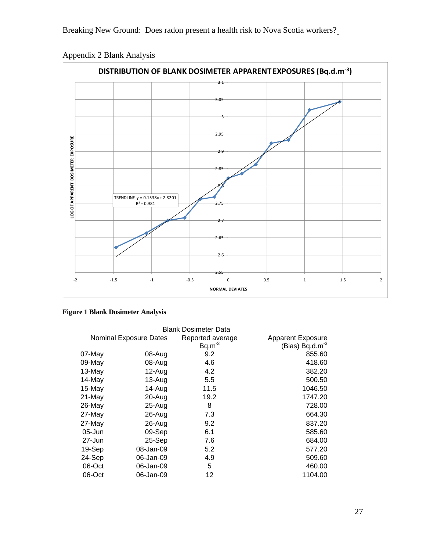

Appendix 2 Blank Analysis

| <b>Figure 1 Blank Dosimeter Analysis</b> |  |  |  |  |  |
|------------------------------------------|--|--|--|--|--|
|------------------------------------------|--|--|--|--|--|

| <b>Blank Dosimeter Data</b> |                               |                  |                          |  |  |  |  |
|-----------------------------|-------------------------------|------------------|--------------------------|--|--|--|--|
|                             | <b>Nominal Exposure Dates</b> | Reported average | <b>Apparent Exposure</b> |  |  |  |  |
|                             |                               | $Bq.m^{-3}$      | (Bias) Bq.d. $m^{-3}$    |  |  |  |  |
| 07-May                      | 08-Aug                        | 9.2              | 855.60                   |  |  |  |  |
| 09-May                      | 08-Aug                        | 4.6              | 418.60                   |  |  |  |  |
| 13-May                      | $12$ -Aug                     | 4.2              | 382.20                   |  |  |  |  |
| 14-May                      | $13 - Aug$                    | 5.5              | 500.50                   |  |  |  |  |
| 15-May                      | 14-Aug                        | 11.5             | 1046.50                  |  |  |  |  |
| 21-May                      | 20-Aug                        | 19.2             | 1747.20                  |  |  |  |  |
| 26-May                      | 25-Aug                        | 8                | 728.00                   |  |  |  |  |
| 27-May                      | $26 - Aug$                    | 7.3              | 664.30                   |  |  |  |  |
| 27-May                      | $26$ -Aug                     | 9.2              | 837.20                   |  |  |  |  |
| $05 - Jun$                  | 09-Sep                        | 6.1              | 585.60                   |  |  |  |  |
| $27 - Jun$                  | $25-Sep$                      | 7.6              | 684.00                   |  |  |  |  |
| 19-Sep                      | 08-Jan-09                     | 5.2              | 577.20                   |  |  |  |  |
| 24-Sep                      | 06-Jan-09                     | 4.9              | 509.60                   |  |  |  |  |
| 06-Oct                      | 06-Jan-09                     | 5                | 460.00                   |  |  |  |  |
| 06-Oct                      | 06-Jan-09                     | 12               | 1104.00                  |  |  |  |  |
|                             |                               |                  |                          |  |  |  |  |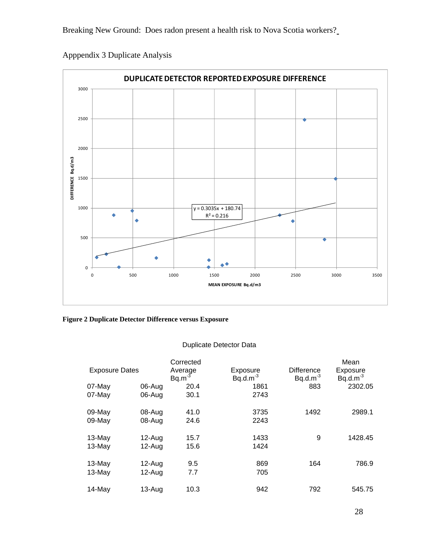

Apppendix 3 Duplicate Analysis

**Figure 2 Duplicate Detector Difference versus Exposure** 

# Duplicate Detector Data

|                       |            | Corrected           |                           |                                    | Mean                   |
|-----------------------|------------|---------------------|---------------------------|------------------------------------|------------------------|
| <b>Exposure Dates</b> |            | Average<br>$Bq.m-3$ | Exposure<br>$Bq.d.m^{-3}$ | <b>Difference</b><br>$Bq.d.m^{-3}$ | Exposure<br>$Bq.d.m-3$ |
| 07-May                | 06-Aug     | 20.4                | 1861                      | 883                                | 2302.05                |
| 07-May                | 06-Aug     | 30.1                | 2743                      |                                    |                        |
| 09-May                | 08-Aug     | 41.0                | 3735                      | 1492                               | 2989.1                 |
| 09-May                | 08-Aug     | 24.6                | 2243                      |                                    |                        |
| $13-May$              | $12-Auq$   | 15.7                | 1433                      | 9                                  | 1428.45                |
| $13-May$              | $12$ -Aug  | 15.6                | 1424                      |                                    |                        |
| 13-May                | 12-Aug     | 9.5                 | 869                       | 164                                | 786.9                  |
| $13-May$              | $12 - Aug$ | 7.7                 | 705                       |                                    |                        |
| 14-May                | 13-Aug     | 10.3                | 942                       | 792                                | 545.75                 |